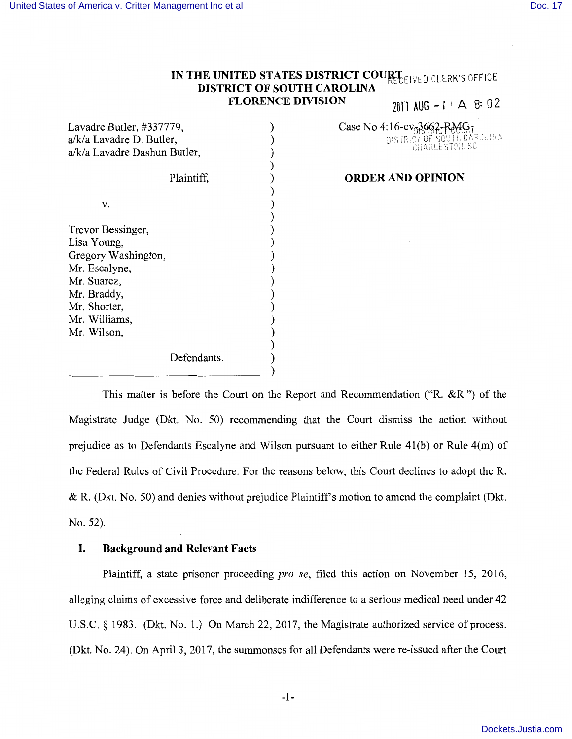V.

Lisa Young,

Mr. Suarez, Mr. Braddy, Mr. Shorter, Mr. Williams, Mr. Wilson,

## IN THE UNITED STATES DISTRICT COURT<sub>ELIVED</sub> CLERK'S OFFICE **DISTRICT OF SOUTH CAROLINA FLORENCE DIVISION**  $\eta$ <sup>111</sup> AUG  $-1 + A$  8: 02

Lavadre Butler, #337779, a/k/a Lavadre D. Butler, a/k/a Lavadre Dashun Butler, Trevor Bessinger, Gregory Washington, Mr. Escalyne, Plaintiff, ) ) ) ) ) ) ) ) ) ) ) ) )

Defendants.

# Case No 4:16-cv<sub>0</sub>3662-RMG<sub>T</sub>

DISTRICT OF SOUTH CAROLINA

#### **ORDER AND OPINION**

This matter is before the Court on the Report and Recommendation **("R. &R.")** of the Magistrate Judge (Dkt. No. 50) recommending that the Court dismiss the action without prejudice as to Defendants Escalyne and Wilson pursuant to either Rule 41(b) or Rule 4(m) of the Federal Rules of Civil Procedure. For the reasons below, this Court declines to adopt the **R.**   $&$  R. (Dkt. No. 50) and denies without prejudice Plaintiff's motion to amend the complaint (Dkt. No. 52).

) ) ) ) ) )

#### **I. Background and Relevant Facts**

Plaintiff, a state prisoner proceeding *pro se,* filed this action on November 15, 2016, alleging claims of excessive force and deliberate indifference to a serious medical need under 42 U.S.C. § 1983. (Dkt. No. 1.) On March 22, 2017, the Magistrate authorized service of process. (Dkt. No. 24). On April 3, 2017, the summonses for all Defendants were re-issued after the Court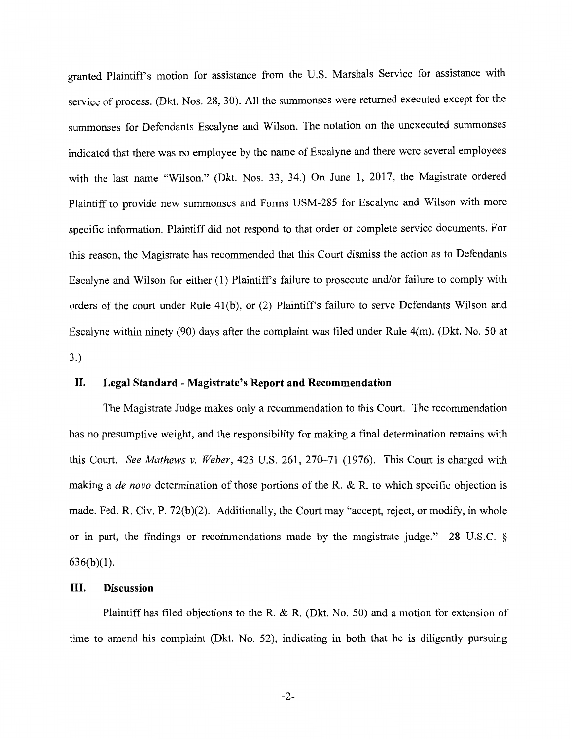granted Plaintiffs motion for assistance from the U.S. Marshals Service for assistance with service of process. (Dkt. Nos. 28, 30). All the summonses were returned executed except for the summonses for Defendants Escalyne and Wilson. The notation on the unexecuted summonses indicated that there was no employee by the name of Escalyne and there were several employees with the last name "Wilson." (Dkt. Nos. 33, 34.) On June 1, 2017, the Magistrate ordered Plaintiff to provide new summonses and Forms USM-285 for Escalyne and Wilson with more specific information. Plaintiff did not respond to that order or complete service documents. For this reason, the Magistrate has recommended that this Court dismiss the action as to Defendants Escalyne and Wilson for either (1) Plaintiff's failure to prosecute and/or failure to comply with orders of the court under Rule 41(b), or (2) Plaintiff's failure to serve Defendants Wilson and Escalyne within ninety (90) days after the complaint was filed under Rule 4(m). (Dkt. No. 50 at 3.)

#### **II. Legal Standard - Magistrate's Report and Recommendation**

The Magistrate Judge makes only a recommendation to this Court. The recommendation has no presumptive weight, and the responsibility for making a final determination remains with this Court. *See Mathews v. Weber,* 423 U.S. 261, 270-71 (1976). This Court is charged with making a *de nova* determination of those portions of the R. & R. to which specific objection is made. Fed. R. Civ. P. 72(b)(2). Additionally, the Court may "accept, reject, or modify, in whole or in part, the findings or recommendations made by the magistrate judge." 28 U.S.C. §  $636(b)(1)$ .

#### **III. Discussion**

Plaintiff has filed objections to the R. & R. (Dkt. No. 50) and a motion for extension of time to amend his complaint (Dkt. No. 52), indicating in both that he is diligently pursuing

-2-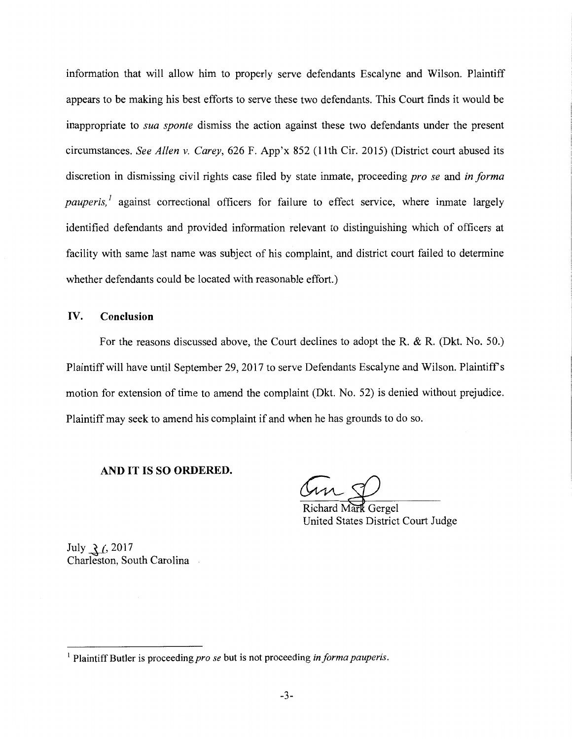information that will allow him to properly serve defendants Escalyne and Wilson. Plaintiff appears to be making his best efforts to serve these two defendants. This Court finds it would be inappropriate to *sua sponte* dismiss the action against these two defendants under the present circumstances. *See Allen v. Carey,* 626 F. App'x 852 (11th Cir. 2015) (District court abused its discretion in dismissing civil rights case filed by state inmate, proceeding *pro se* and *in forma pauperis,<sup>1</sup>* against correctional officers for failure to effect service, where inmate largely identified defendants and provided information relevant to distinguishing which of officers at facility with same last name was subject of his complaint, and district court failed to determine whether defendants could be located with reasonable effort.)

#### **IV. Conclusion**

For the reasons discussed above, the Court declines to adopt the R. & R. (Dkt. No. 50.) Plaintiff will have until September 29, 2017 to serve Defendants Escalyne and Wilson. Plaintiffs motion for extension of time to amend the complaint (Dkt. No. 52) is denied without prejudice. Plaintiff may seek to amend his complaint if and when he has grounds to do so.

#### **AND IT IS SO ORDERED.**

Richard Mark Gergel United States District Court Judge

July *-i-{,* 2017 Charleston, South Carolina

<sup>&</sup>lt;sup>1</sup> Plaintiff Butler is proceeding *pro se* but is not proceeding *in forma pauperis*.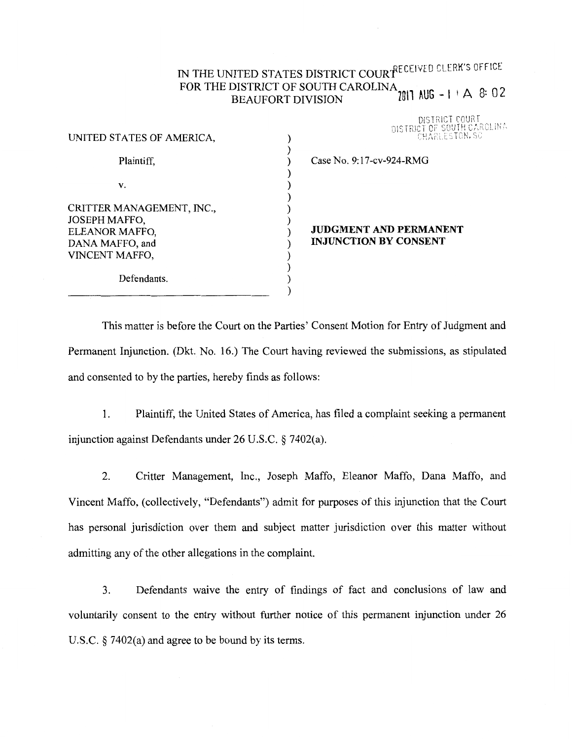## IN THE UNITED STATES DISTRICT COURfECEIVED CLERK'S OFFICE FOR THE DISTRICT OF SOUTH CAROLINA<sub>2011</sub> AHC  $-1+\Delta$  8: 0.2. BEAUFORT DIVISION 2011 AUG - 1  $\cdot$   $\cdot$  8: 02

DISTRICT COURT OF SOUTH CAROLINA **NISTRICT** 

| UNITED STATES OF AMERICA,                                                                         |  |
|---------------------------------------------------------------------------------------------------|--|
| Plaintiff,                                                                                        |  |
| v.                                                                                                |  |
| CRITTER MANAGEMENT, INC.,<br>JOSEPH MAFFO,<br>ELEANOR MAFFO,<br>DANA MAFFO, and<br>VINCENT MAFFO, |  |
| Defendants.                                                                                       |  |

### Case No. 9: 17-cv-924-RMG

#### **JUDGMENT AND PERMANENT INJUNCTION BY CONSENT**

This matter is before the Court on the Parties' Consent Motion for Entry of Judgment and Permanent Injunction. (Dkt. No. 16.) The Court having reviewed the submissions, as stipulated and consented to by the parties, hereby finds as follows:

) ) ) ) ) ) ) ) ) ) ) ) ) )

1. Plaintiff, the United States of America, has filed a complaint seeking a permanent injunction against Defendants under 26 U.S.C. § 7402(a).

2. Critter Management, Inc., Joseph Maffo, Eleanor Maffo, Dana Maffo, and Vincent Maffo, ( collectively, "Defendants") admit for purposes of this injunction that the Court has personal jurisdiction over them and subject matter jurisdiction over this matter without admitting any of the other allegations in the complaint.

3. Defendants waive the entry of findings of fact and conclusions of law and voluntarily consent to the entry without further notice of this permanent injunction under 26 U.S.C. § 7402(a) and agree to be bound by its terms.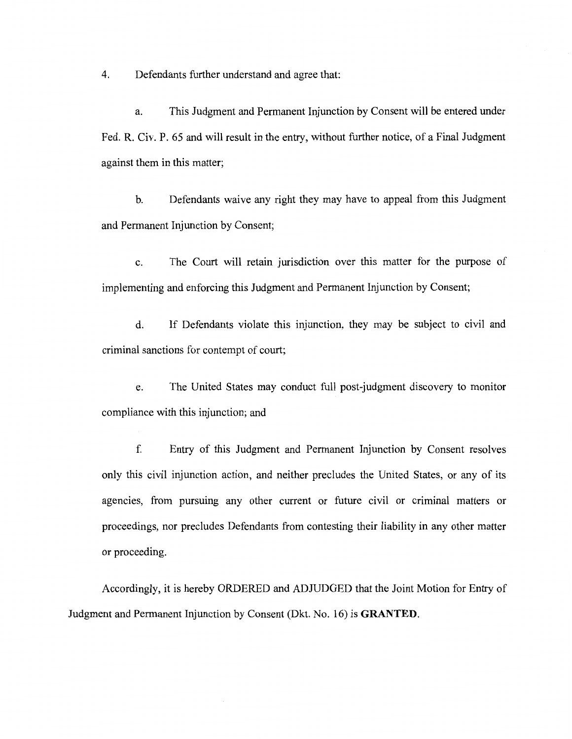4. Defendants further understand and agree that:

a. This Judgment and Permanent Injunction by Consent will be entered under Fed. R. Civ. P. 65 and will result in the entry, without further notice, of a Final Judgment against them in this matter;

b. Defendants waive any right they may have to appeal from this Judgment and Permanent Injunction by Consent;

c. The Court will retain jurisdiction over this matter for the purpose of implementing and enforcing this Judgment and Permanent Injunction by Consent;

d. If Defendants violate this injunction, they may be subject to civil and criminal sanctions for contempt of court;

e. The United States may conduct full post-judgment discovery to monitor compliance with this injunction; and

f. Entry of this Judgment and Permanent Injunction by Consent resolves only this civil injunction action, and neither precludes the United States, or any of its agencies, from pursuing any other current or future civil or criminal matters or proceedings, nor precludes Defendants from contesting their liability in any other matter or proceeding.

Accordingly, it is hereby ORDERED and ADJUDGED that the Joint Motion for Entry of Judgment and Permanent Injunction by Consent (Dkt. No. 16) is **GRANTED.**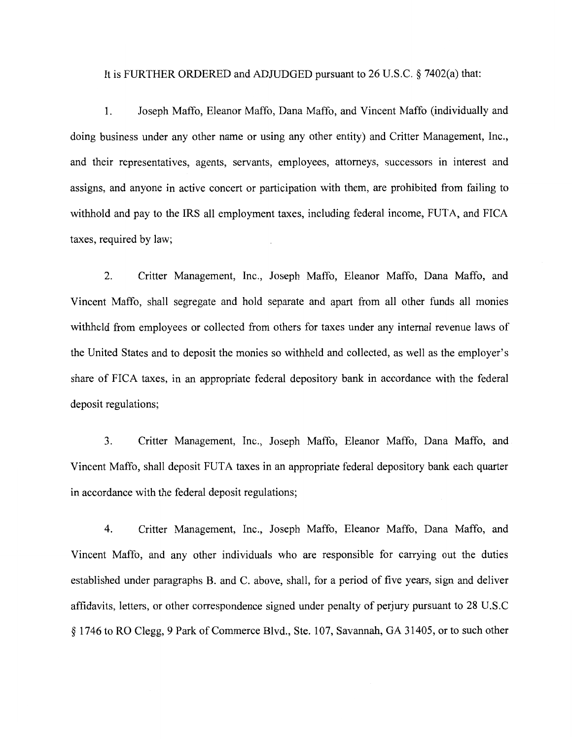It is FURTHER ORDERED and ADJUDGED pursuant to 26 U.S.C. § 7402(a) that:

1. Joseph Maffo, Eleanor Maffo, Dana Maffo, and Vincent Maffo (individually and doing business under any other name or using any other entity) and Critter Management, Inc., and their representatives, agents, servants, employees, attorneys, successors in interest and assigns, and anyone in active concert or participation with them, are prohibited from failing to withhold and pay to the IRS all employment taxes, including federal income, FUTA, and FICA taxes, required by law;

2. Critter Management, Inc., Joseph Maffo, Eleanor Maffo, Dana Maffo, and Vincent Maffo, shall segregate and hold separate and apart from all other funds all monies withheld from employees or collected from others for taxes under any internal revenue laws of the United States and to deposit the monies so withheld and collected, as well as the employer's share of FICA taxes, in an appropriate federal depository bank in accordance with the federal deposit regulations;

3. Critter Management, Inc., Joseph Maffo, Eleanor Maffo, Dana Maffo, and Vincent Maffo, shall deposit FUTA taxes in an appropriate federal depository bank each quarter in accordance with the federal deposit regulations;

4. Critter Management, Inc., Joseph Maffo, Eleanor Maffo, Dana Maffo, and Vincent Maffo, and any other individuals who are responsible for carrying out the duties established under paragraphs B. and C. above, shall, for a period of five years, sign and deliver affidavits, letters, or other correspondence signed under penalty of perjury pursuant to 28 U.S.C § 1746 to RO Clegg, 9 Park of Commerce Blvd., Ste. 107, Savannah, GA 31405, or to such other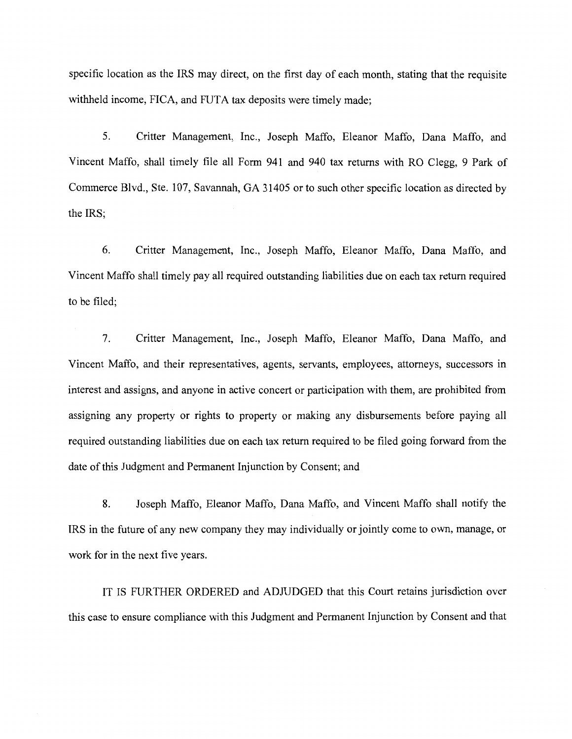specific location as the IRS may direct, on the first day of each month, stating that the requisite withheld income, FICA, and FUTA tax deposits were timely made;

5. Critter Management, Inc., Joseph Maffo, Eleanor Maffo, Dana Maffo, and Vincent Maffo, shall timely file all Form 941 and 940 tax returns with RO Clegg, 9 Park of Commerce Blvd., Ste. 107, Savannah, GA 31405 or to such other specific location as directed by the **IRS;** 

6. Critter Management, Inc., Joseph Maffo, Eleanor Maffo, Dana Maffo, and Vincent Maffo shall timely pay all required outstanding liabilities due on each tax return required to be filed;

7. Critter Management, Inc., Joseph Maffo, Eleanor Maffo, Dana Maffo, and Vincent Maffo, and their representatives, agents, servants, employees, attorneys, successors in interest and assigns, and anyone in active concert or participation with them, are prohibited from assigning any property or rights to property or making any disbursements before paying all required outstanding liabilities due on each tax return required to be filed going forward from the date of this Judgment and Permanent Injunction by Consent; and

8. Joseph Maffo, Eleanor Maffo, Dana Maffo, and Vincent Maffo shall notify the IRS in the future of any new company they may individually or jointly come to own, manage, or work for in the next five years.

IT IS FURTHER ORDERED and ADJUDGED that this Court retains jurisdiction over this case to ensure compliance with this Judgment and Permanent Injunction by Consent and that